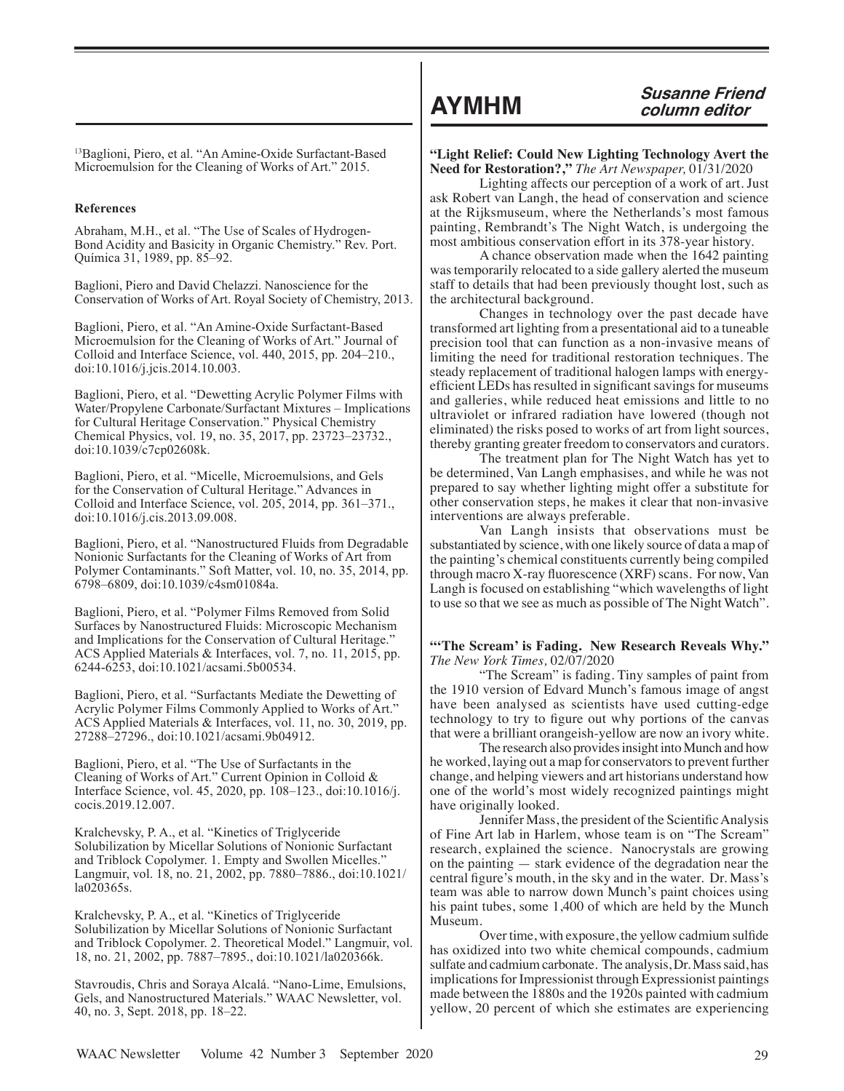13Baglioni, Piero, et al. "An Amine-Oxide Surfactant-Based Microemulsion for the Cleaning of Works of Art." 2015.

## **References**

Abraham, M.H., et al. "The Use of Scales of Hydrogen-Bond Acidity and Basicity in Organic Chemistry." Rev. Port. Química 31, 1989, pp. 85–92.

Baglioni, Piero and David Chelazzi. Nanoscience for the Conservation of Works of Art. Royal Society of Chemistry, 2013.

Baglioni, Piero, et al. "An Amine-Oxide Surfactant-Based Microemulsion for the Cleaning of Works of Art." Journal of Colloid and Interface Science, vol. 440, 2015, pp. 204–210., doi:10.1016/j.jcis.2014.10.003.

Baglioni, Piero, et al. "Dewetting Acrylic Polymer Films with Water/Propylene Carbonate/Surfactant Mixtures – Implications for Cultural Heritage Conservation." Physical Chemistry Chemical Physics, vol. 19, no. 35, 2017, pp. 23723–23732., doi:10.1039/c7cp02608k.

Baglioni, Piero, et al. "Micelle, Microemulsions, and Gels for the Conservation of Cultural Heritage." Advances in Colloid and Interface Science, vol. 205, 2014, pp. 361–371., doi:10.1016/j.cis.2013.09.008.

Baglioni, Piero, et al. "Nanostructured Fluids from Degradable Nonionic Surfactants for the Cleaning of Works of Art from Polymer Contaminants." Soft Matter, vol. 10, no. 35, 2014, pp. 6798–6809, doi:10.1039/c4sm01084a.

Baglioni, Piero, et al. "Polymer Films Removed from Solid Surfaces by Nanostructured Fluids: Microscopic Mechanism and Implications for the Conservation of Cultural Heritage." ACS Applied Materials & Interfaces, vol. 7, no. 11, 2015, pp. 6244-6253, doi:10.1021/acsami.5b00534.

Baglioni, Piero, et al. "Surfactants Mediate the Dewetting of Acrylic Polymer Films Commonly Applied to Works of Art." ACS Applied Materials & Interfaces, vol. 11, no. 30, 2019, pp. 27288–27296., doi:10.1021/acsami.9b04912.

Baglioni, Piero, et al. "The Use of Surfactants in the Cleaning of Works of Art." Current Opinion in Colloid & Interface Science, vol. 45, 2020, pp. 108–123., doi:10.1016/j. cocis.2019.12.007.

Kralchevsky, P. A., et al. "Kinetics of Triglyceride Solubilization by Micellar Solutions of Nonionic Surfactant and Triblock Copolymer. 1. Empty and Swollen Micelles." Langmuir, vol. 18, no. 21, 2002, pp. 7880–7886., doi:10.1021/ la020365s.

Kralchevsky, P. A., et al. "Kinetics of Triglyceride Solubilization by Micellar Solutions of Nonionic Surfactant and Triblock Copolymer. 2. Theoretical Model." Langmuir, vol. 18, no. 21, 2002, pp. 7887–7895., doi:10.1021/la020366k.

Stavroudis, Chris and Soraya Alcalá. "Nano-Lime, Emulsions, Gels, and Nanostructured Materials." WAAC Newsletter, vol. 40, no. 3, Sept. 2018, pp. 18–22.

**"Light Relief: Could New Lighting Technology Avert the Need for Restoration?,"** *The Art Newspaper,* 01/31/2020

Lighting affects our perception of a work of art. Just ask Robert van Langh, the head of conservation and science at the Rijksmuseum, where the Netherlands's most famous painting, Rembrandt's The Night Watch, is undergoing the most ambitious conservation effort in its 378-year history.

A chance observation made when the 1642 painting was temporarily relocated to a side gallery alerted the museum staff to details that had been previously thought lost, such as the architectural background.

Changes in technology over the past decade have transformed art lighting from a presentational aid to a tuneable precision tool that can function as a non-invasive means of limiting the need for traditional restoration techniques. The steady replacement of traditional halogen lamps with energyefficient LEDs has resulted in significant savings for museums and galleries, while reduced heat emissions and little to no ultraviolet or infrared radiation have lowered (though not eliminated) the risks posed to works of art from light sources, thereby granting greater freedom to conservators and curators.

The treatment plan for The Night Watch has yet to be determined, Van Langh emphasises, and while he was not prepared to say whether lighting might offer a substitute for other conservation steps, he makes it clear that non-invasive interventions are always preferable.

Van Langh insists that observations must be substantiated by science, with one likely source of data a map of the painting's chemical constituents currently being compiled through macro X-ray fluorescence (XRF) scans. For now, Van Langh is focused on establishing "which wavelengths of light to use so that we see as much as possible of The Night Watch".

# **"'The Scream' is Fading. New Research Reveals Why."**  *The New York Times,* 02/07/2020

"The Scream" is fading. Tiny samples of paint from the 1910 version of Edvard Munch's famous image of angst have been analysed as scientists have used cutting-edge technology to try to figure out why portions of the canvas that were a brilliant orangeish-yellow are now an ivory white.

The research also provides insight into Munch and how he worked, laying out a map for conservators to prevent further change, and helping viewers and art historians understand how one of the world's most widely recognized paintings might have originally looked.

Jennifer Mass, the president of the Scientific Analysis of Fine Art lab in Harlem, whose team is on "The Scream" research, explained the science. Nanocrystals are growing on the painting — stark evidence of the degradation near the central figure's mouth, in the sky and in the water. Dr. Mass's team was able to narrow down Munch's paint choices using his paint tubes, some 1,400 of which are held by the Munch Museum.

Over time, with exposure, the yellow cadmium sulfide has oxidized into two white chemical compounds, cadmium sulfate and cadmium carbonate. The analysis, Dr. Mass said, has implications for Impressionist through Expressionist paintings made between the 1880s and the 1920s painted with cadmium yellow, 20 percent of which she estimates are experiencing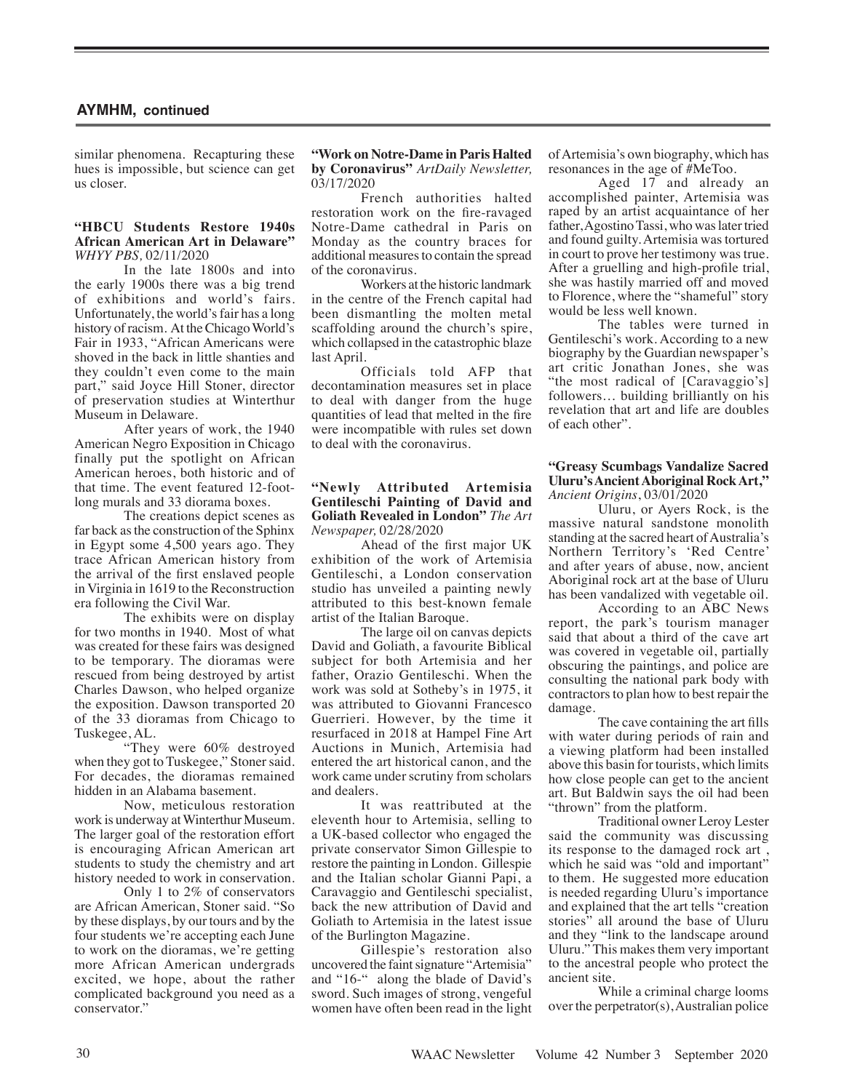similar phenomena. Recapturing these hues is impossible, but science can get us closer.

## **"HBCU Students Restore 1940s African American Art in Delaware"**  *WHYY PBS,* 02/11/2020

In the late 1800s and into the early 1900s there was a big trend of exhibitions and world's fairs. Unfortunately, the world's fair has a long history of racism. At the Chicago World's Fair in 1933, "African Americans were shoved in the back in little shanties and they couldn't even come to the main part," said Joyce Hill Stoner, director of preservation studies at Winterthur Museum in Delaware.

After years of work, the 1940 American Negro Exposition in Chicago finally put the spotlight on African American heroes, both historic and of that time. The event featured 12-footlong murals and 33 diorama boxes.

The creations depict scenes as far back as the construction of the Sphinx in Egypt some 4,500 years ago. They trace African American history from the arrival of the first enslaved people in Virginia in 1619 to the Reconstruction era following the Civil War.

The exhibits were on display for two months in 1940. Most of what was created for these fairs was designed to be temporary. The dioramas were rescued from being destroyed by artist Charles Dawson, who helped organize the exposition. Dawson transported 20 of the 33 dioramas from Chicago to Tuskegee, AL.

"They were 60% destroyed when they got to Tuskegee," Stoner said. For decades, the dioramas remained hidden in an Alabama basement.

Now, meticulous restoration work is underway at Winterthur Museum. The larger goal of the restoration effort is encouraging African American art students to study the chemistry and art history needed to work in conservation.

Only 1 to 2% of conservators are African American, Stoner said. "So by these displays, by our tours and by the four students we're accepting each June to work on the dioramas, we're getting more African American undergrads excited, we hope, about the rather complicated background you need as a conservator."

# **"Work on Notre-Dame in Paris Halted by Coronavirus"** *ArtDaily Newsletter,* 03/17/2020

French authorities halted restoration work on the fire-ravaged Notre-Dame cathedral in Paris on Monday as the country braces for additional measures to contain the spread of the coronavirus.

Workers at the historic landmark in the centre of the French capital had been dismantling the molten metal scaffolding around the church's spire, which collapsed in the catastrophic blaze last April.

Officials told AFP that decontamination measures set in place to deal with danger from the huge quantities of lead that melted in the fire were incompatible with rules set down to deal with the coronavirus.

# **"Newly Attributed Artemisia Gentileschi Painting of David and Goliath Revealed in London"** *The Art Newspaper,* 02/28/2020

Ahead of the first major UK exhibition of the work of Artemisia Gentileschi, a London conservation studio has unveiled a painting newly attributed to this best-known female artist of the Italian Baroque.

The large oil on canvas depicts David and Goliath, a favourite Biblical subject for both Artemisia and her father, Orazio Gentileschi. When the work was sold at Sotheby's in 1975, it was attributed to Giovanni Francesco Guerrieri. However, by the time it resurfaced in 2018 at Hampel Fine Art Auctions in Munich, Artemisia had entered the art historical canon, and the work came under scrutiny from scholars and dealers.

It was reattributed at the eleventh hour to Artemisia, selling to a UK-based collector who engaged the private conservator Simon Gillespie to restore the painting in London. Gillespie and the Italian scholar Gianni Papi, a Caravaggio and Gentileschi specialist, back the new attribution of David and Goliath to Artemisia in the latest issue of the Burlington Magazine.

Gillespie's restoration also uncovered the faint signature "Artemisia" and "16-" along the blade of David's sword. Such images of strong, vengeful women have often been read in the light of Artemisia's own biography, which has resonances in the age of #MeToo.

Aged 17 and already an accomplished painter, Artemisia was raped by an artist acquaintance of her father, Agostino Tassi, who was later tried and found guilty. Artemisia was tortured in court to prove her testimony was true. After a gruelling and high-profile trial, she was hastily married off and moved to Florence, where the "shameful" story would be less well known.

The tables were turned in Gentileschi's work. According to a new biography by the Guardian newspaper's art critic Jonathan Jones, she was "the most radical of [Caravaggio's] followers… building brilliantly on his revelation that art and life are doubles of each other".

## **"Greasy Scumbags Vandalize Sacred Uluru's Ancient Aboriginal Rock Art,"** *Ancient Origins*, 03/01/2020

Uluru, or Ayers Rock, is the massive natural sandstone monolith standing at the sacred heart of Australia's Northern Territory's 'Red Centre' and after years of abuse, now, ancient Aboriginal rock art at the base of Uluru has been vandalized with vegetable oil.

According to an ABC News report, the park's tourism manager said that about a third of the cave art was covered in vegetable oil, partially obscuring the paintings, and police are consulting the national park body with contractors to plan how to best repair the damage.

The cave containing the art fills with water during periods of rain and a viewing platform had been installed above this basin for tourists, which limits how close people can get to the ancient art. But Baldwin says the oil had been "thrown" from the platform.

Traditional owner Leroy Lester said the community was discussing its response to the damaged rock art , which he said was "old and important" to them. He suggested more education is needed regarding Uluru's importance and explained that the art tells "creation stories" all around the base of Uluru and they "link to the landscape around Uluru." This makes them very important to the ancestral people who protect the ancient site.

While a criminal charge looms over the perpetrator(s), Australian police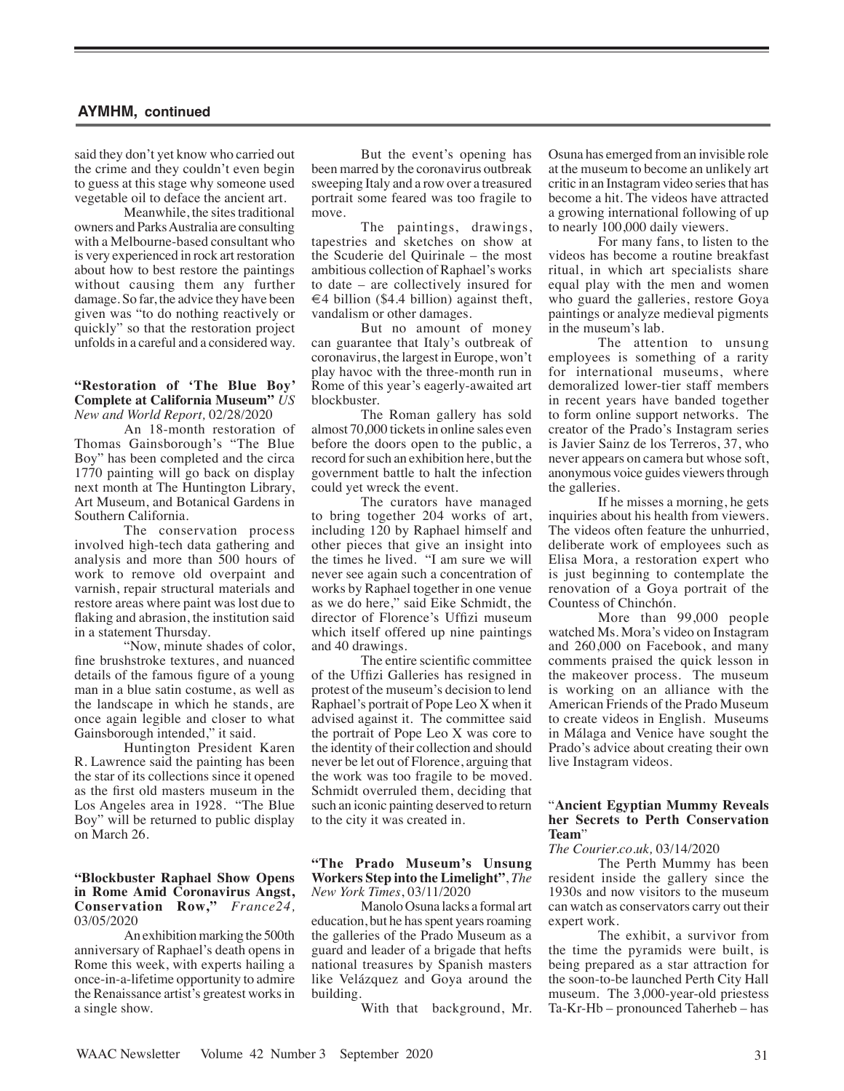said they don't yet know who carried out the crime and they couldn't even begin to guess at this stage why someone used vegetable oil to deface the ancient art.

Meanwhile, the sites traditional owners and Parks Australia are consulting with a Melbourne-based consultant who is very experienced in rock art restoration about how to best restore the paintings without causing them any further damage. So far, the advice they have been given was "to do nothing reactively or quickly" so that the restoration project unfolds in a careful and a considered way.

## **"Restoration of 'The Blue Boy' Complete at California Museum"** *US New and World Report,* 02/28/2020

An 18-month restoration of Thomas Gainsborough's "The Blue Boy" has been completed and the circa 1770 painting will go back on display next month at The Huntington Library, Art Museum, and Botanical Gardens in Southern California.

The conservation process involved high-tech data gathering and analysis and more than 500 hours of work to remove old overpaint and varnish, repair structural materials and restore areas where paint was lost due to flaking and abrasion, the institution said in a statement Thursday.

"Now, minute shades of color, fine brushstroke textures, and nuanced details of the famous figure of a young man in a blue satin costume, as well as the landscape in which he stands, are once again legible and closer to what Gainsborough intended," it said.

Huntington President Karen R. Lawrence said the painting has been the star of its collections since it opened as the first old masters museum in the Los Angeles area in 1928. "The Blue Boy" will be returned to public display on March 26.

## **"Blockbuster Raphael Show Opens in Rome Amid Coronavirus Angst, Conservation Row,"** *France24,*  03/05/2020

An exhibition marking the 500th anniversary of Raphael's death opens in Rome this week, with experts hailing a once-in-a-lifetime opportunity to admire the Renaissance artist's greatest works in a single show.

But the event's opening has been marred by the coronavirus outbreak sweeping Italy and a row over a treasured portrait some feared was too fragile to move.

The paintings, drawings, tapestries and sketches on show at the Scuderie del Quirinale – the most ambitious collection of Raphael's works to date – are collectively insured for  $\in$  4 billion (\$4.4 billion) against theft, vandalism or other damages.

But no amount of money can guarantee that Italy's outbreak of coronavirus, the largest in Europe, won't play havoc with the three-month run in Rome of this year's eagerly-awaited art blockbuster.

The Roman gallery has sold almost 70,000 tickets in online sales even before the doors open to the public, a record for such an exhibition here, but the government battle to halt the infection could yet wreck the event.

The curators have managed to bring together 204 works of art, including 120 by Raphael himself and other pieces that give an insight into the times he lived. "I am sure we will never see again such a concentration of works by Raphael together in one venue as we do here," said Eike Schmidt, the director of Florence's Uffizi museum which itself offered up nine paintings and 40 drawings.

The entire scientific committee of the Uffizi Galleries has resigned in protest of the museum's decision to lend Raphael's portrait of Pope Leo X when it advised against it. The committee said the portrait of Pope Leo X was core to the identity of their collection and should never be let out of Florence, arguing that the work was too fragile to be moved. Schmidt overruled them, deciding that such an iconic painting deserved to return to the city it was created in.

## **"The Prado Museum's Unsung Workers Step into the Limelight"**, *The New York Times*, 03/11/2020

Manolo Osuna lacks a formal art education, but he has spent years roaming the galleries of the Prado Museum as a guard and leader of a brigade that hefts national treasures by Spanish masters like Velázquez and Goya around the building.

With that background, Mr.

Osuna has emerged from an invisible role at the museum to become an unlikely art critic in an Instagram video series that has become a hit. The videos have attracted a growing international following of up to nearly 100,000 daily viewers.

For many fans, to listen to the videos has become a routine breakfast ritual, in which art specialists share equal play with the men and women who guard the galleries, restore Goya paintings or analyze medieval pigments in the museum's lab.

The attention to unsung employees is something of a rarity for international museums, where demoralized lower-tier staff members in recent years have banded together to form online support networks. The creator of the Prado's Instagram series is Javier Sainz de los Terreros, 37, who never appears on camera but whose soft, anonymous voice guides viewers through the galleries.

If he misses a morning, he gets inquiries about his health from viewers. The videos often feature the unhurried, deliberate work of employees such as Elisa Mora, a restoration expert who is just beginning to contemplate the renovation of a Goya portrait of the Countess of Chinchón.

More than 99,000 people watched Ms. Mora's video on Instagram and 260,000 on Facebook, and many comments praised the quick lesson in the makeover process. The museum is working on an alliance with the American Friends of the Prado Museum to create videos in English. Museums in Málaga and Venice have sought the Prado's advice about creating their own live Instagram videos.

# "**Ancient Egyptian Mummy Reveals her Secrets to Perth Conservation Team**"

# *The Courier.co.uk,* 03/14/2020

The Perth Mummy has been resident inside the gallery since the 1930s and now visitors to the museum can watch as conservators carry out their expert work.

The exhibit, a survivor from the time the pyramids were built, is being prepared as a star attraction for the soon-to-be launched Perth City Hall museum. The 3,000-year-old priestess Ta-Kr-Hb – pronounced Taherheb – has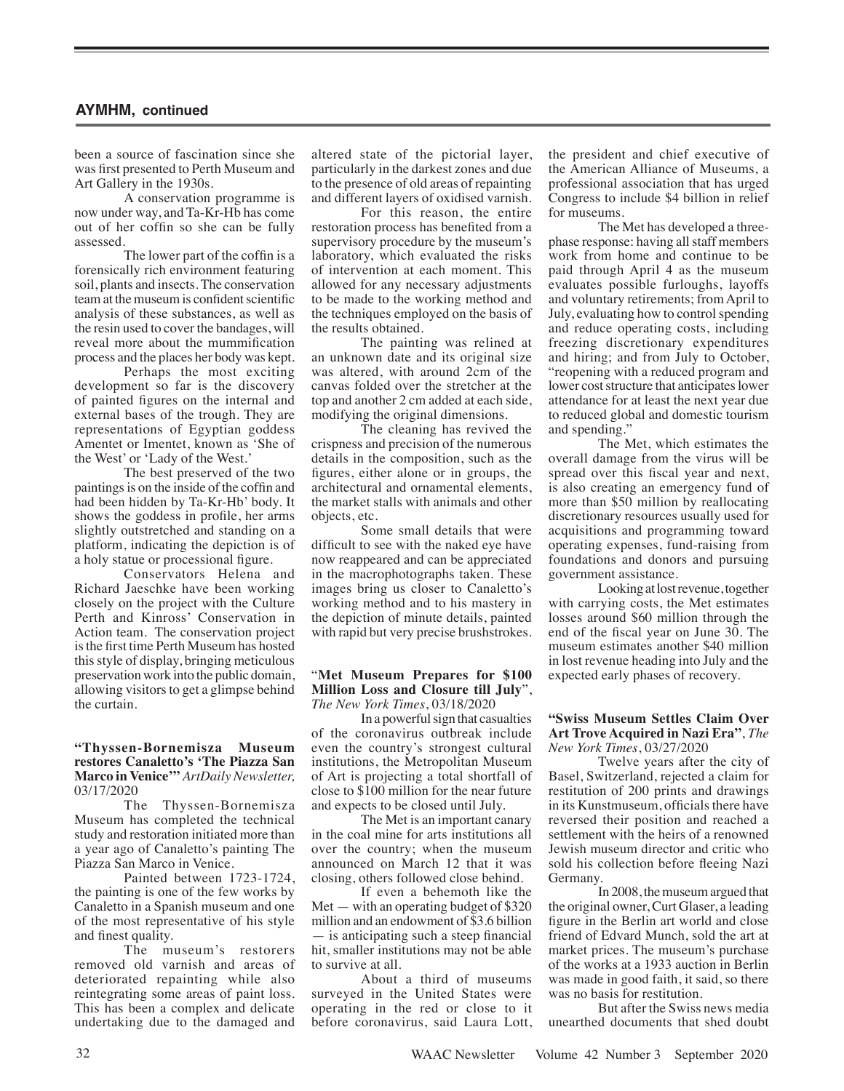been a source of fascination since she was first presented to Perth Museum and Art Gallery in the 1930s.

A conservation programme is now under way, and Ta-Kr-Hb has come out of her coffin so she can be fully assessed.

The lower part of the coffin is a forensically rich environment featuring soil, plants and insects. The conservation team at the museum is confident scientific analysis of these substances, as well as the resin used to cover the bandages, will reveal more about the mummification process and the places her body was kept.

Perhaps the most exciting development so far is the discovery of painted figures on the internal and external bases of the trough. They are representations of Egyptian goddess Amentet or Imentet, known as 'She of the West' or 'Lady of the West.'

The best preserved of the two paintings is on the inside of the coffin and had been hidden by Ta-Kr-Hb' body. It shows the goddess in profile, her arms slightly outstretched and standing on a platform, indicating the depiction is of a holy statue or processional figure.

Conservators Helena and Richard Jaeschke have been working closely on the project with the Culture Perth and Kinross' Conservation in Action team. The conservation project is the first time Perth Museum has hosted this style of display, bringing meticulous preservation work into the public domain, allowing visitors to get a glimpse behind the curtain.

# **"Thyssen-Bornemisza Museum restores Canaletto's 'The Piazza San Marco in Venice'"** *ArtDaily Newsletter,*  03/17/2020

The Thyssen-Bornemisza Museum has completed the technical study and restoration initiated more than a year ago of Canaletto's painting The Piazza San Marco in Venice.

Painted between 1723-1724, the painting is one of the few works by Canaletto in a Spanish museum and one of the most representative of his style and finest quality.

The museum's restorers removed old varnish and areas of deteriorated repainting while also reintegrating some areas of paint loss. This has been a complex and delicate undertaking due to the damaged and

altered state of the pictorial layer, particularly in the darkest zones and due to the presence of old areas of repainting and different layers of oxidised varnish.

For this reason, the entire restoration process has benefited from a supervisory procedure by the museum's laboratory, which evaluated the risks of intervention at each moment. This allowed for any necessary adjustments to be made to the working method and the techniques employed on the basis of the results obtained.

The painting was relined at an unknown date and its original size was altered, with around 2cm of the canvas folded over the stretcher at the top and another 2 cm added at each side, modifying the original dimensions.

The cleaning has revived the crispness and precision of the numerous details in the composition, such as the figures, either alone or in groups, the architectural and ornamental elements, the market stalls with animals and other objects, etc.

Some small details that were difficult to see with the naked eye have now reappeared and can be appreciated in the macrophotographs taken. These images bring us closer to Canaletto's working method and to his mastery in the depiction of minute details, painted with rapid but very precise brushstrokes.

### "**Met Museum Prepares for \$100 Million Loss and Closure till July**", *The New York Times*, 03/18/2020

In a powerful sign that casualties of the coronavirus outbreak include even the country's strongest cultural institutions, the Metropolitan Museum of Art is projecting a total shortfall of close to \$100 million for the near future and expects to be closed until July.

The Met is an important canary in the coal mine for arts institutions all over the country; when the museum announced on March 12 that it was closing, others followed close behind.

If even a behemoth like the Met — with an operating budget of \$320 million and an endowment of \$3.6 billion — is anticipating such a steep financial hit, smaller institutions may not be able to survive at all.

About a third of museums surveyed in the United States were operating in the red or close to it before coronavirus, said Laura Lott, the president and chief executive of the American Alliance of Museums, a professional association that has urged Congress to include \$4 billion in relief for museums.

The Met has developed a threephase response: having all staff members work from home and continue to be paid through April 4 as the museum evaluates possible furloughs, layoffs and voluntary retirements; from April to July, evaluating how to control spending and reduce operating costs, including freezing discretionary expenditures and hiring; and from July to October, "reopening with a reduced program and lower cost structure that anticipates lower attendance for at least the next year due to reduced global and domestic tourism and spending."

The Met, which estimates the overall damage from the virus will be spread over this fiscal year and next, is also creating an emergency fund of more than \$50 million by reallocating discretionary resources usually used for acquisitions and programming toward operating expenses, fund-raising from foundations and donors and pursuing government assistance.

Looking at lost revenue, together with carrying costs, the Met estimates losses around \$60 million through the end of the fiscal year on June 30. The museum estimates another \$40 million in lost revenue heading into July and the expected early phases of recovery.

### **"Swiss Museum Settles Claim Over Art Trove Acquired in Nazi Era"**, *The New York Times*, 03/27/2020

Twelve years after the city of Basel, Switzerland, rejected a claim for restitution of 200 prints and drawings in its Kunstmuseum, officials there have reversed their position and reached a settlement with the heirs of a renowned Jewish museum director and critic who sold his collection before fleeing Nazi Germany.

In 2008, the museum argued that the original owner, Curt Glaser, a leading figure in the Berlin art world and close friend of Edvard Munch, sold the art at market prices. The museum's purchase of the works at a 1933 auction in Berlin was made in good faith, it said, so there was no basis for restitution.

But after the Swiss news media unearthed documents that shed doubt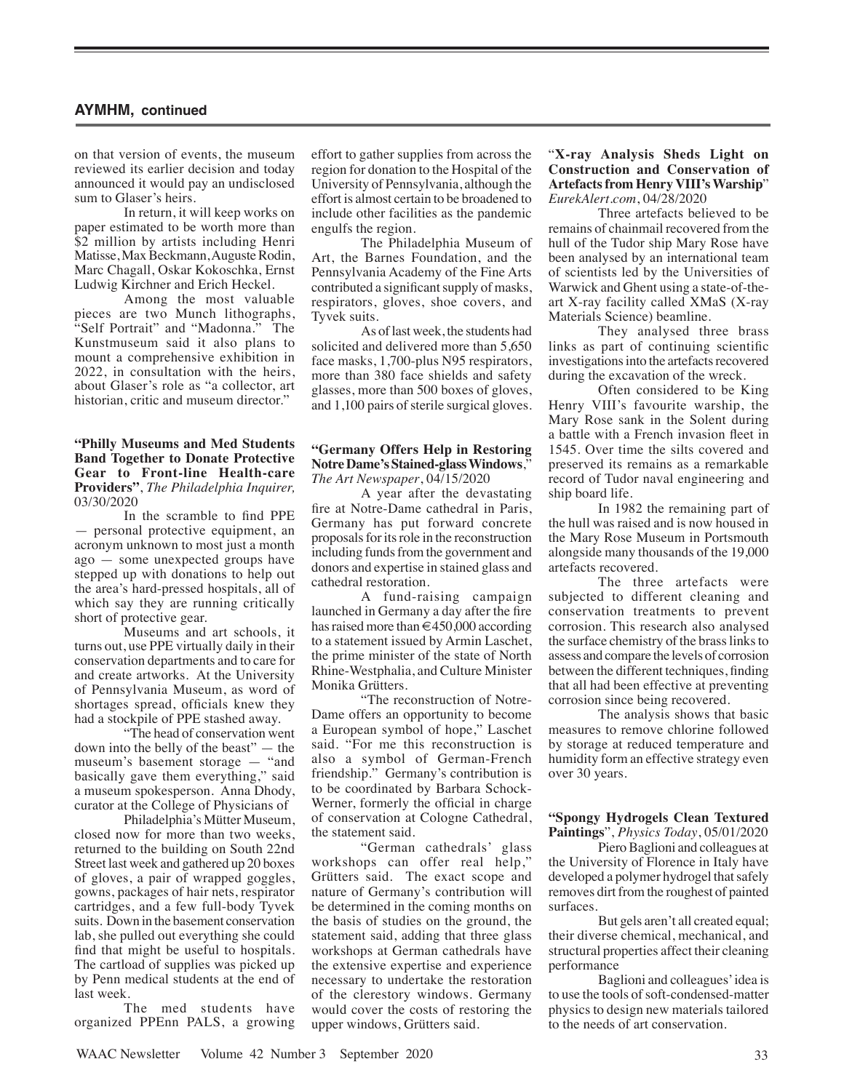on that version of events, the museum reviewed its earlier decision and today announced it would pay an undisclosed sum to Glaser's heirs.

In return, it will keep works on paper estimated to be worth more than \$2 million by artists including Henri Matisse, Max Beckmann, Auguste Rodin, Marc Chagall, Oskar Kokoschka, Ernst Ludwig Kirchner and Erich Heckel.

Among the most valuable pieces are two Munch lithographs, "Self Portrait" and "Madonna." The Kunstmuseum said it also plans to mount a comprehensive exhibition in 2022, in consultation with the heirs, about Glaser's role as "a collector, art historian, critic and museum director."

**"Philly Museums and Med Students Band Together to Donate Protective Gear to Front-line Health-care Providers"**, *The Philadelphia Inquirer,*  03/30/2020

In the scramble to find PPE — personal protective equipment, an acronym unknown to most just a month ago — some unexpected groups have stepped up with donations to help out the area's hard-pressed hospitals, all of which say they are running critically short of protective gear.

Museums and art schools, it turns out, use PPE virtually daily in their conservation departments and to care for and create artworks. At the University of Pennsylvania Museum, as word of shortages spread, officials knew they had a stockpile of PPE stashed away.

"The head of conservation went down into the belly of the beast" — the museum's basement storage — "and basically gave them everything," said a museum spokesperson. Anna Dhody, curator at the College of Physicians of

Philadelphia's Mütter Museum, closed now for more than two weeks, returned to the building on South 22nd Street last week and gathered up 20 boxes of gloves, a pair of wrapped goggles, gowns, packages of hair nets, respirator cartridges, and a few full-body Tyvek suits. Down in the basement conservation lab, she pulled out everything she could find that might be useful to hospitals. The cartload of supplies was picked up by Penn medical students at the end of last week.

The med students have organized PPEnn PALS, a growing effort to gather supplies from across the region for donation to the Hospital of the University of Pennsylvania, although the effort is almost certain to be broadened to include other facilities as the pandemic engulfs the region.

The Philadelphia Museum of Art, the Barnes Foundation, and the Pennsylvania Academy of the Fine Arts contributed a significant supply of masks, respirators, gloves, shoe covers, and Tyvek suits.

As of last week, the students had solicited and delivered more than 5,650 face masks, 1,700-plus N95 respirators, more than 380 face shields and safety glasses, more than 500 boxes of gloves, and 1,100 pairs of sterile surgical gloves.

## **"Germany Offers Help in Restoring Notre Dame's Stained-glass Windows**," *The Art Newspaper*, 04/15/2020

A year after the devastating fire at Notre-Dame cathedral in Paris, Germany has put forward concrete proposals for its role in the reconstruction including funds from the government and donors and expertise in stained glass and cathedral restoration.

A fund-raising campaign launched in Germany a day after the fire has raised more than €450,000 according to a statement issued by Armin Laschet, the prime minister of the state of North Rhine-Westphalia, and Culture Minister Monika Grütters.

"The reconstruction of Notre-Dame offers an opportunity to become a European symbol of hope," Laschet said. "For me this reconstruction is also a symbol of German-French friendship." Germany's contribution is to be coordinated by Barbara Schock-Werner, formerly the official in charge of conservation at Cologne Cathedral, the statement said.

"German cathedrals' glass workshops can offer real help," Grütters said. The exact scope and nature of Germany's contribution will be determined in the coming months on the basis of studies on the ground, the statement said, adding that three glass workshops at German cathedrals have the extensive expertise and experience necessary to undertake the restoration of the clerestory windows. Germany would cover the costs of restoring the upper windows, Grütters said.

"**X-ray Analysis Sheds Light on Construction and Conservation of Artefacts from Henry VIII's Warship**" *EurekAlert.com*, 04/28/2020

Three artefacts believed to be remains of chainmail recovered from the hull of the Tudor ship Mary Rose have been analysed by an international team of scientists led by the Universities of Warwick and Ghent using a state-of-theart X-ray facility called XMaS (X-ray Materials Science) beamline.

They analysed three brass links as part of continuing scientific investigations into the artefacts recovered during the excavation of the wreck.

Often considered to be King Henry VIII's favourite warship, the Mary Rose sank in the Solent during a battle with a French invasion fleet in 1545. Over time the silts covered and preserved its remains as a remarkable record of Tudor naval engineering and ship board life.

In 1982 the remaining part of the hull was raised and is now housed in the Mary Rose Museum in Portsmouth alongside many thousands of the 19,000 artefacts recovered.

The three artefacts were subjected to different cleaning and conservation treatments to prevent corrosion. This research also analysed the surface chemistry of the brass links to assess and compare the levels of corrosion between the different techniques, finding that all had been effective at preventing corrosion since being recovered.

The analysis shows that basic measures to remove chlorine followed by storage at reduced temperature and humidity form an effective strategy even over 30 years.

## **"Spongy Hydrogels Clean Textured Paintings**", *Physics Today*, 05/01/2020

Piero Baglioni and colleagues at the University of Florence in Italy have developed a polymer hydrogel that safely removes dirt from the roughest of painted surfaces.

But gels aren't all created equal; their diverse chemical, mechanical, and structural properties affect their cleaning performance

Baglioni and colleagues' idea is to use the tools of soft-condensed-matter physics to design new materials tailored to the needs of art conservation.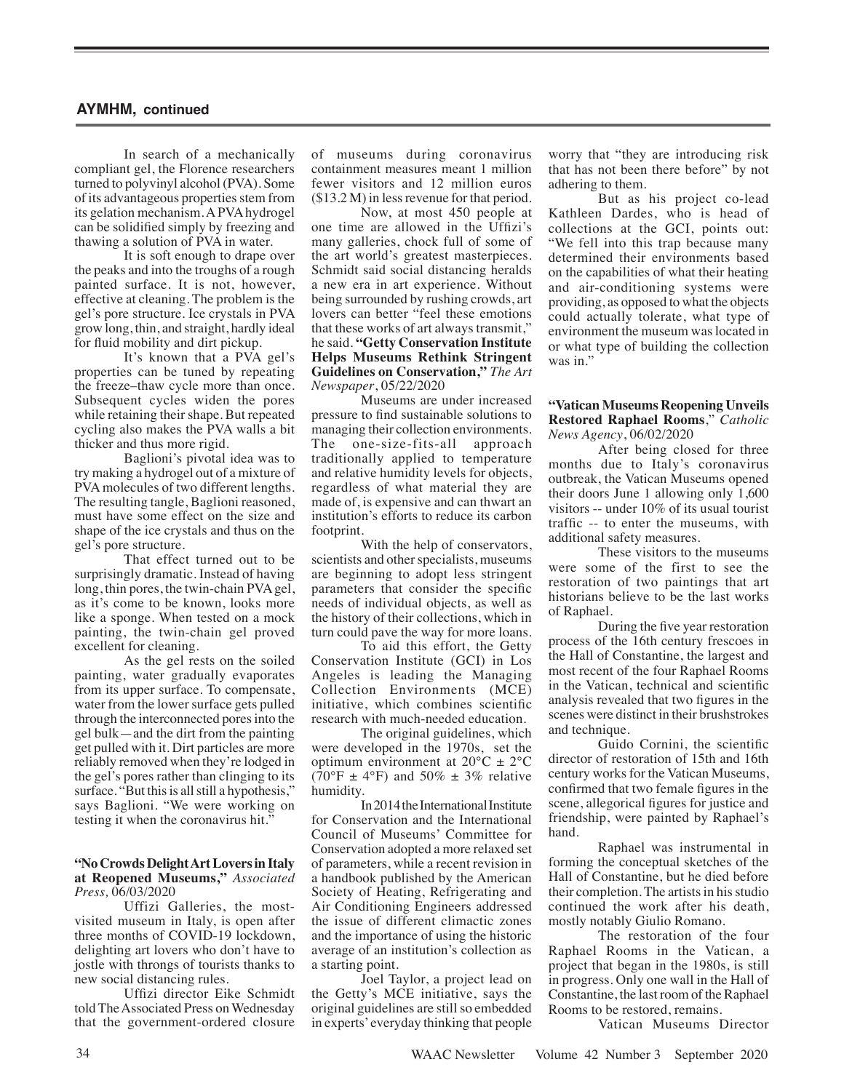In search of a mechanically compliant gel, the Florence researchers turned to polyvinyl alcohol (PVA). Some of its advantageous properties stem from its gelation mechanism. A PVA hydrogel can be solidified simply by freezing and thawing a solution of PVA in water.

It is soft enough to drape over the peaks and into the troughs of a rough painted surface. It is not, however, effective at cleaning. The problem is the gel's pore structure. Ice crystals in PVA grow long, thin, and straight, hardly ideal for fluid mobility and dirt pickup.

It's known that a PVA gel's properties can be tuned by repeating the freeze–thaw cycle more than once. Subsequent cycles widen the pores while retaining their shape. But repeated cycling also makes the PVA walls a bit thicker and thus more rigid.

Baglioni's pivotal idea was to try making a hydrogel out of a mixture of PVA molecules of two different lengths. The resulting tangle, Baglioni reasoned, must have some effect on the size and shape of the ice crystals and thus on the gel's pore structure.

That effect turned out to be surprisingly dramatic. Instead of having long, thin pores, the twin-chain PVA gel, as it's come to be known, looks more like a sponge. When tested on a mock painting, the twin-chain gel proved excellent for cleaning.

As the gel rests on the soiled painting, water gradually evaporates from its upper surface. To compensate, water from the lower surface gets pulled through the interconnected pores into the gel bulk—and the dirt from the painting get pulled with it. Dirt particles are more reliably removed when they're lodged in the gel's pores rather than clinging to its surface. "But this is all still a hypothesis," says Baglioni. "We were working on testing it when the coronavirus hit."

# **"No Crowds Delight Art Lovers in Italy at Reopened Museums,"** *Associated Press,* 06/03/2020

Uffizi Galleries, the mostvisited museum in Italy, is open after three months of COVID-19 lockdown, delighting art lovers who don't have to jostle with throngs of tourists thanks to new social distancing rules.

Uffizi director Eike Schmidt told The Associated Press on Wednesday that the government-ordered closure

of museums during coronavirus containment measures meant 1 million fewer visitors and 12 million euros (\$13.2 M) in less revenue for that period.

Now, at most 450 people at one time are allowed in the Uffizi's many galleries, chock full of some of the art world's greatest masterpieces. Schmidt said social distancing heralds a new era in art experience. Without being surrounded by rushing crowds, art lovers can better "feel these emotions that these works of art always transmit," he said. **"Getty Conservation Institute Helps Museums Rethink Stringent Guidelines on Conservation,"** *The Art Newspaper*, 05/22/2020

Museums are under increased pressure to find sustainable solutions to managing their collection environments. The one-size-fits-all approach traditionally applied to temperature and relative humidity levels for objects, regardless of what material they are made of, is expensive and can thwart an institution's efforts to reduce its carbon footprint.

With the help of conservators, scientists and other specialists, museums are beginning to adopt less stringent parameters that consider the specific needs of individual objects, as well as the history of their collections, which in turn could pave the way for more loans.

To aid this effort, the Getty Conservation Institute (GCI) in Los Angeles is leading the Managing Collection Environments (MCE) initiative, which combines scientific research with much-needed education.

The original guidelines, which were developed in the 1970s, set the optimum environment at  $20^{\circ}$ C  $\pm 2^{\circ}$ C (70°F  $\pm$  4°F) and 50%  $\pm$  3% relative humidity.

In 2014 the International Institute for Conservation and the International Council of Museums' Committee for Conservation adopted a more relaxed set of parameters, while a recent revision in a handbook published by the American Society of Heating, Refrigerating and Air Conditioning Engineers addressed the issue of different climactic zones and the importance of using the historic average of an institution's collection as a starting point.

Joel Taylor, a project lead on the Getty's MCE initiative, says the original guidelines are still so embedded in experts' everyday thinking that people worry that "they are introducing risk that has not been there before" by not adhering to them.

But as his project co-lead Kathleen Dardes, who is head of collections at the GCI, points out: "We fell into this trap because many determined their environments based on the capabilities of what their heating and air-conditioning systems were providing, as opposed to what the objects could actually tolerate, what type of environment the museum was located in or what type of building the collection was in."

# **"Vatican Museums Reopening Unveils Restored Raphael Rooms**," *Catholic News Agency*, 06/02/2020

After being closed for three months due to Italy's coronavirus outbreak, the Vatican Museums opened their doors June 1 allowing only 1,600 visitors -- under 10% of its usual tourist traffic -- to enter the museums, with additional safety measures.

These visitors to the museums were some of the first to see the restoration of two paintings that art historians believe to be the last works of Raphael.

During the five year restoration process of the 16th century frescoes in the Hall of Constantine, the largest and most recent of the four Raphael Rooms in the Vatican, technical and scientific analysis revealed that two figures in the scenes were distinct in their brushstrokes and technique.

Guido Cornini, the scientific director of restoration of 15th and 16th century works for the Vatican Museums, confirmed that two female figures in the scene, allegorical figures for justice and friendship, were painted by Raphael's hand.

Raphael was instrumental in forming the conceptual sketches of the Hall of Constantine, but he died before their completion. The artists in his studio continued the work after his death, mostly notably Giulio Romano.

The restoration of the four Raphael Rooms in the Vatican, a project that began in the 1980s, is still in progress. Only one wall in the Hall of Constantine, the last room of the Raphael Rooms to be restored, remains.

Vatican Museums Director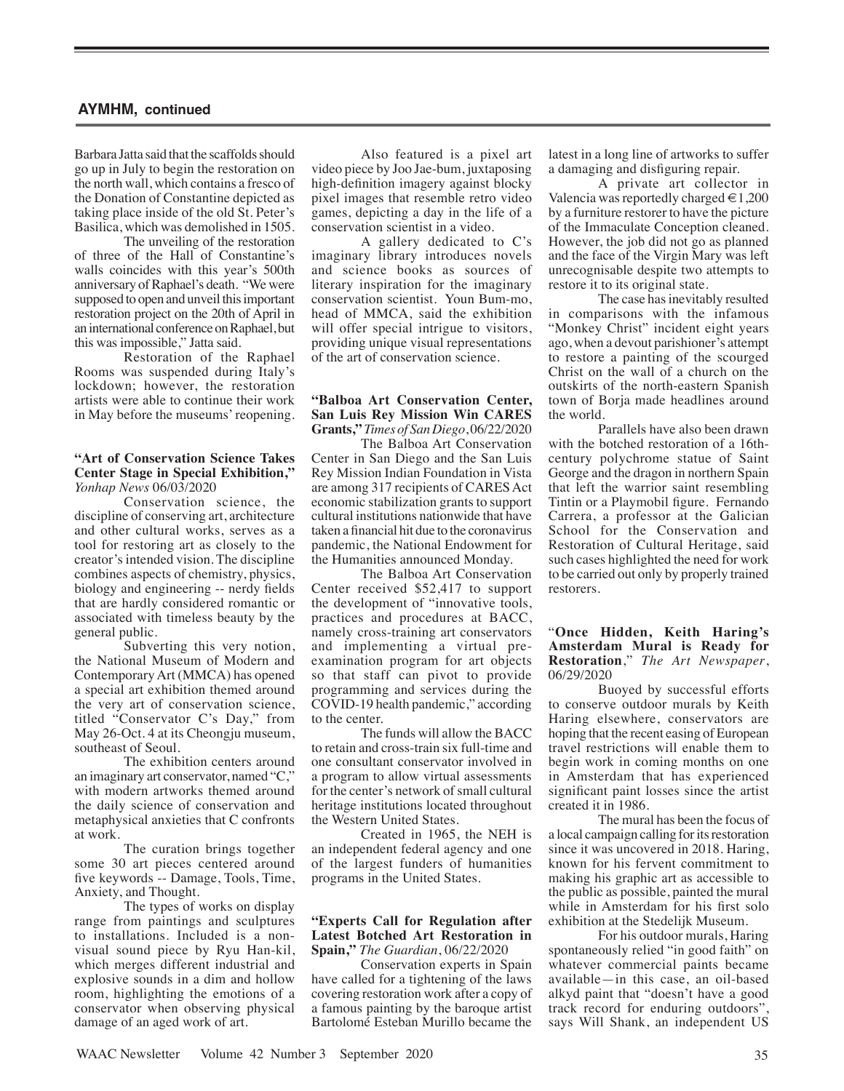Barbara Jatta said that the scaffolds should go up in July to begin the restoration on the north wall, which contains a fresco of the Donation of Constantine depicted as taking place inside of the old St. Peter's Basilica, which was demolished in 1505.

The unveiling of the restoration of three of the Hall of Constantine's walls coincides with this year's 500th anniversary of Raphael's death. "We were supposed to open and unveil this important restoration project on the 20th of April in an international conference on Raphael, but this was impossible," Jatta said.

Restoration of the Raphael Rooms was suspended during Italy's lockdown; however, the restoration artists were able to continue their work in May before the museums' reopening.

## **"Art of Conservation Science Takes Center Stage in Special Exhibition,"** *Yonhap News* 06/03/2020

Conservation science, the discipline of conserving art, architecture and other cultural works, serves as a tool for restoring art as closely to the creator's intended vision. The discipline combines aspects of chemistry, physics, biology and engineering -- nerdy fields that are hardly considered romantic or associated with timeless beauty by the general public.

Subverting this very notion, the National Museum of Modern and Contemporary Art (MMCA) has opened a special art exhibition themed around the very art of conservation science, titled "Conservator C's Day," from May 26-Oct. 4 at its Cheongju museum, southeast of Seoul.

The exhibition centers around an imaginary art conservator, named "C," with modern artworks themed around the daily science of conservation and metaphysical anxieties that C confronts at work.

The curation brings together some 30 art pieces centered around five keywords -- Damage, Tools, Time, Anxiety, and Thought.

The types of works on display range from paintings and sculptures to installations. Included is a nonvisual sound piece by Ryu Han-kil, which merges different industrial and explosive sounds in a dim and hollow room, highlighting the emotions of a conservator when observing physical damage of an aged work of art.

Also featured is a pixel art video piece by Joo Jae-bum, juxtaposing high-definition imagery against blocky pixel images that resemble retro video games, depicting a day in the life of a conservation scientist in a video.

A gallery dedicated to C's imaginary library introduces novels and science books as sources of literary inspiration for the imaginary conservation scientist. Youn Bum-mo, head of MMCA, said the exhibition will offer special intrigue to visitors. providing unique visual representations of the art of conservation science.

# **"Balboa Art Conservation Center, San Luis Rey Mission Win CARES Grants,"***Times of San Diego*, 06/22/2020

The Balboa Art Conservation Center in San Diego and the San Luis Rey Mission Indian Foundation in Vista are among 317 recipients of CARES Act economic stabilization grants to support cultural institutions nationwide that have taken a financial hit due to the coronavirus pandemic, the National Endowment for the Humanities announced Monday.

The Balboa Art Conservation Center received \$52,417 to support the development of "innovative tools, practices and procedures at BACC, namely cross-training art conservators and implementing a virtual preexamination program for art objects so that staff can pivot to provide programming and services during the COVID-19 health pandemic," according to the center.

The funds will allow the BACC to retain and cross-train six full-time and one consultant conservator involved in a program to allow virtual assessments for the center's network of small cultural heritage institutions located throughout the Western United States.

Created in 1965, the NEH is an independent federal agency and one of the largest funders of humanities programs in the United States.

### **"Experts Call for Regulation after Latest Botched Art Restoration in Spain,"** *The Guardian*, 06/22/2020

Conservation experts in Spain have called for a tightening of the laws covering restoration work after a copy of a famous painting by the baroque artist Bartolomé Esteban Murillo became the latest in a long line of artworks to suffer a damaging and disfiguring repair.

A private art collector in Valencia was reportedly charged  $\in$  1,200 by a furniture restorer to have the picture of the Immaculate Conception cleaned. However, the job did not go as planned and the face of the Virgin Mary was left unrecognisable despite two attempts to restore it to its original state.

The case has inevitably resulted in comparisons with the infamous "Monkey Christ" incident eight years ago, when a devout parishioner's attempt to restore a painting of the scourged Christ on the wall of a church on the outskirts of the north-eastern Spanish town of Borja made headlines around the world.

Parallels have also been drawn with the botched restoration of a 16thcentury polychrome statue of Saint George and the dragon in northern Spain that left the warrior saint resembling Tintin or a Playmobil figure. Fernando Carrera, a professor at the Galician School for the Conservation and Restoration of Cultural Heritage, said such cases highlighted the need for work to be carried out only by properly trained restorers.

# "**Once Hidden, Keith Haring's Amsterdam Mural is Ready for Restoration**," *The Art Newspaper*, 06/29/2020

Buoyed by successful efforts to conserve outdoor murals by Keith Haring elsewhere, conservators are hoping that the recent easing of European travel restrictions will enable them to begin work in coming months on one in Amsterdam that has experienced significant paint losses since the artist created it in 1986.

The mural has been the focus of a local campaign calling for its restoration since it was uncovered in 2018. Haring, known for his fervent commitment to making his graphic art as accessible to the public as possible, painted the mural while in Amsterdam for his first solo exhibition at the Stedelijk Museum.

For his outdoor murals, Haring spontaneously relied "in good faith" on whatever commercial paints became available—in this case, an oil-based alkyd paint that "doesn't have a good track record for enduring outdoors", says Will Shank, an independent US